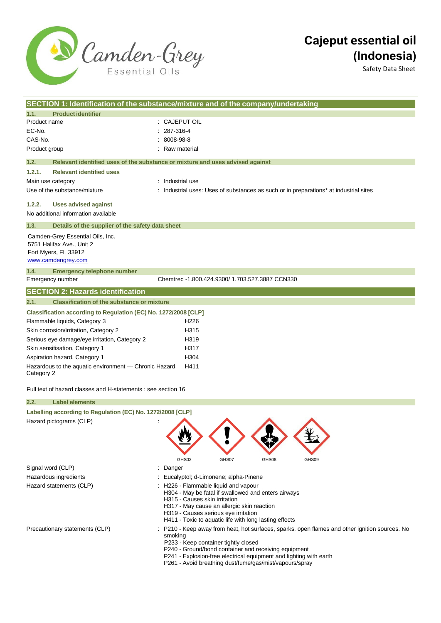

# **Cajeput essential oil (Indonesia)**

Safety Data Sheet

| SECTION 1: Identification of the substance/mixture and of the company/undertaking     |                                                                                     |
|---------------------------------------------------------------------------------------|-------------------------------------------------------------------------------------|
| <b>Product identifier</b><br>1.1.                                                     |                                                                                     |
| Product name                                                                          | <b>CAJEPUT OIL</b>                                                                  |
| 287-316-4<br>EC-No.                                                                   |                                                                                     |
| CAS-No.<br>8008-98-8                                                                  |                                                                                     |
| Raw material<br>Product group                                                         |                                                                                     |
| 1.2.<br>Relevant identified uses of the substance or mixture and uses advised against |                                                                                     |
| <b>Relevant identified uses</b><br>1.2.1.                                             |                                                                                     |
| Industrial use<br>Main use category                                                   |                                                                                     |
| Use of the substance/mixture                                                          | Industrial uses: Uses of substances as such or in preparations* at industrial sites |
| 1.2.2.<br><b>Uses advised against</b>                                                 |                                                                                     |
| No additional information available                                                   |                                                                                     |
| 1.3.<br>Details of the supplier of the safety data sheet                              |                                                                                     |
| Camden-Grey Essential Oils, Inc.                                                      |                                                                                     |
| 5751 Halifax Ave., Unit 2                                                             |                                                                                     |
| Fort Myers, FL 33912                                                                  |                                                                                     |
| www.camdengrey.com                                                                    |                                                                                     |
| 1.4.<br><b>Emergency telephone number</b>                                             |                                                                                     |
| Emergency number                                                                      | Chemtrec -1.800.424.9300/ 1.703.527.3887 CCN330                                     |
| <b>SECTION 2: Hazards identification</b>                                              |                                                                                     |
| <b>Classification of the substance or mixture</b><br>2.1.                             |                                                                                     |
| Classification according to Regulation (EC) No. 1272/2008 [CLP]                       |                                                                                     |
| Flammable liquids, Category 3                                                         | H <sub>226</sub>                                                                    |
| Skin corrosion/irritation, Category 2                                                 | H315                                                                                |
| Serious eye damage/eye irritation, Category 2                                         | H319                                                                                |
| Skin sensitisation, Category 1                                                        | H317                                                                                |
| Aspiration hazard, Category 1                                                         | H304                                                                                |
| Hazardous to the aquatic environment - Chronic Hazard,<br>Category 2                  | H411                                                                                |
| Full text of hazard classes and H-statements : see section 16                         |                                                                                     |

#### **2.2. Label elements**

**Labelling according to Regulation (EC) No. 1272/2008 [CLP]** Hazard pictograms (CLP) :

Signal word (CLP)  $\qquad \qquad$ : Danger

- 
- Hazardous ingredients **interest in the Community** Eucalyptol; d-Limonene; alpha-Pinene
- Hazard statements (CLP)  $\qquad \qquad$ : H226 Flammable liquid and vapour
	- H304 May be fatal if swallowed and enters airways
	- H315 Causes skin irritation
	- H317 May cause an allergic skin reaction
	- H319 Causes serious eye irritation
	- H411 Toxic to aquatic life with long lasting effects
- Precautionary statements (CLP) : P210 Keep away from heat, hot surfaces, sparks, open flames and other ignition sources. No smoking
	- P233 Keep container tightly closed
	- P240 Ground/bond container and receiving equipment
	- P241 Explosion-free electrical equipment and lighting with earth

GHS02 GHS07 GHS08 GHS09

P261 - Avoid breathing dust/fume/gas/mist/vapours/spray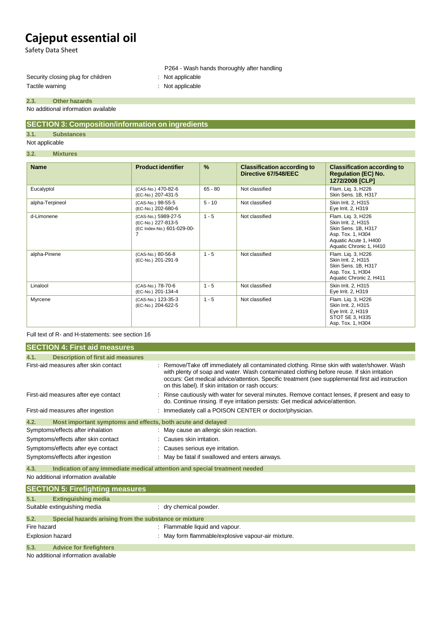Safety Data Sheet

Security closing plug for children : Not applicable Tactile warning **intervalled** and the state of the STA and Tactile warning

P264 - Wash hands thoroughly after handling

- 
- 

#### No additional information available **2.3. Other hazards**

### **SECTION 3: Composition/information on ingredients**

**3.1. Substances**

#### Not applicable

#### **3.2. Mixtures**

| <b>Name</b>     | <b>Product identifier</b>                                               | $\frac{9}{6}$ | <b>Classification according to</b><br>Directive 67/548/EEC | <b>Classification according to</b><br><b>Regulation (EC) No.</b><br>1272/2008 [CLP]                                                       |
|-----------------|-------------------------------------------------------------------------|---------------|------------------------------------------------------------|-------------------------------------------------------------------------------------------------------------------------------------------|
| Eucalyptol      | (CAS-No.) 470-82-6<br>(EC-No.) 207-431-5                                | $65 - 80$     | Not classified                                             | Flam. Lig. 3, H226<br>Skin Sens. 1B, H317                                                                                                 |
| alpha-Terpineol | (CAS-No.) 98-55-5<br>(EC-No.) 202-680-6                                 | $5 - 10$      | Not classified                                             | Skin Irrit. 2, H315<br>Eye Irrit. 2, H319                                                                                                 |
| d-Limonene      | (CAS-No.) 5989-27-5<br>(EC-No.) 227-813-5<br>(EC Index-No.) 601-029-00- | $1 - 5$       | Not classified                                             | Flam. Lig. 3, H226<br>Skin Irrit. 2, H315<br>Skin Sens. 1B, H317<br>Asp. Tox. 1, H304<br>Aquatic Acute 1, H400<br>Aquatic Chronic 1, H410 |
| alpha-Pinene    | (CAS-No.) 80-56-8<br>(EC-No.) 201-291-9                                 | $1 - 5$       | Not classified                                             | Flam. Liq. 3, H226<br>Skin Irrit. 2, H315<br>Skin Sens. 1B, H317<br>Asp. Tox. 1, H304<br>Aquatic Chronic 2, H411                          |
| Linalool        | (CAS-No.) 78-70-6<br>(EC-No.) 201-134-4                                 | $1 - 5$       | Not classified                                             | Skin Irrit. 2, H315<br>Eye Irrit. 2, H319                                                                                                 |
| Myrcene         | (CAS-No.) 123-35-3<br>(EC-No.) 204-622-5                                | $1 - 5$       | Not classified                                             | Flam. Lig. 3, H226<br>Skin Irrit. 2, H315<br>Eye Irrit. 2, H319<br>STOT SE 3, H335<br>Asp. Tox. 1, H304                                   |

#### Full text of R- and H-statements: see section 16

| <b>SECTION 4: First aid measures</b>                                |                                                                                                                                                                                                                                                                                                                                                   |
|---------------------------------------------------------------------|---------------------------------------------------------------------------------------------------------------------------------------------------------------------------------------------------------------------------------------------------------------------------------------------------------------------------------------------------|
| 4.1.<br><b>Description of first aid measures</b>                    |                                                                                                                                                                                                                                                                                                                                                   |
| First-aid measures after skin contact                               | Remove/Take off immediately all contaminated clothing. Rinse skin with water/shower. Wash<br>with plenty of soap and water. Wash contaminated clothing before reuse. If skin irritation<br>occurs: Get medical advice/attention. Specific treatment (see supplemental first aid instruction<br>on this label). If skin irritation or rash occurs: |
| First-aid measures after eye contact                                | Rinse cautiously with water for several minutes. Remove contact lenses, if present and easy to<br>do. Continue rinsing. If eye irritation persists: Get medical advice/attention.                                                                                                                                                                 |
| First-aid measures after ingestion                                  | Immediately call a POISON CENTER or doctor/physician.                                                                                                                                                                                                                                                                                             |
| 4.2.<br>Most important symptoms and effects, both acute and delayed |                                                                                                                                                                                                                                                                                                                                                   |
| Symptoms/effects after inhalation                                   | : May cause an allergic skin reaction.                                                                                                                                                                                                                                                                                                            |
| Symptoms/effects after skin contact                                 | : Causes skin irritation.                                                                                                                                                                                                                                                                                                                         |
| Symptoms/effects after eye contact                                  | : Causes serious eye irritation.                                                                                                                                                                                                                                                                                                                  |
| Symptoms/effects after ingestion                                    | : May be fatal if swallowed and enters airways.                                                                                                                                                                                                                                                                                                   |
| 4.3.                                                                | Indication of any immediate medical attention and special treatment needed                                                                                                                                                                                                                                                                        |
| No additional information available                                 |                                                                                                                                                                                                                                                                                                                                                   |
| <b>SECTION 5: Firefighting measures</b>                             |                                                                                                                                                                                                                                                                                                                                                   |

|                  | $\overline{1}$                                        |                                                    |
|------------------|-------------------------------------------------------|----------------------------------------------------|
| 5.1.             | <b>Extinguishing media</b>                            |                                                    |
|                  | Suitable extinguishing media                          | dry chemical powder.                               |
| 5.2.             | Special hazards arising from the substance or mixture |                                                    |
| Fire hazard      |                                                       | Flammable liquid and vapour.                       |
| Explosion hazard |                                                       | : May form flammable/explosive vapour-air mixture. |
| 5.3.             | <b>Advice for firefighters</b>                        |                                                    |
|                  |                                                       |                                                    |

No additional information available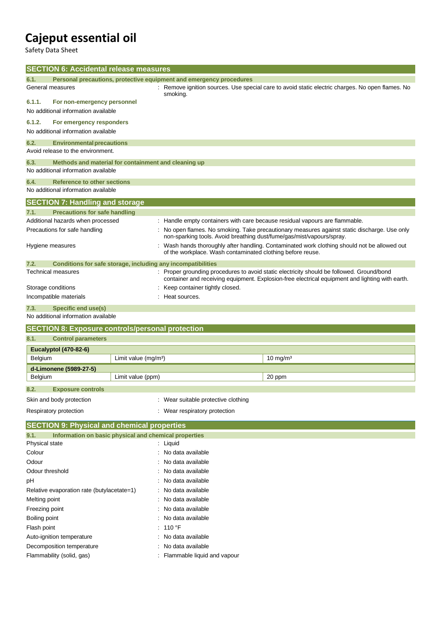Safety Data Sheet

|                                            | <b>SECTION 6: Accidental release measures</b>                                                                                                                                                           |                       |                                                                             |                                                                                                 |  |
|--------------------------------------------|---------------------------------------------------------------------------------------------------------------------------------------------------------------------------------------------------------|-----------------------|-----------------------------------------------------------------------------|-------------------------------------------------------------------------------------------------|--|
| 6.1.                                       | Personal precautions, protective equipment and emergency procedures<br>: Remove ignition sources. Use special care to avoid static electric charges. No open flames. No<br>General measures<br>smoking. |                       |                                                                             |                                                                                                 |  |
| 6.1.1.                                     | For non-emergency personnel<br>No additional information available                                                                                                                                      |                       |                                                                             |                                                                                                 |  |
| 6.1.2.                                     | For emergency responders<br>No additional information available                                                                                                                                         |                       |                                                                             |                                                                                                 |  |
| 6.2.                                       | <b>Environmental precautions</b><br>Avoid release to the environment.                                                                                                                                   |                       |                                                                             |                                                                                                 |  |
| 6.3.                                       | Methods and material for containment and cleaning up<br>No additional information available                                                                                                             |                       |                                                                             |                                                                                                 |  |
| 6.4.                                       | Reference to other sections<br>No additional information available                                                                                                                                      |                       |                                                                             |                                                                                                 |  |
|                                            | <b>SECTION 7: Handling and storage</b>                                                                                                                                                                  |                       |                                                                             |                                                                                                 |  |
| 7.1.                                       | <b>Precautions for safe handling</b>                                                                                                                                                                    |                       |                                                                             |                                                                                                 |  |
|                                            | Additional hazards when processed                                                                                                                                                                       |                       | : Handle empty containers with care because residual vapours are flammable. |                                                                                                 |  |
|                                            | Precautions for safe handling                                                                                                                                                                           |                       | non-sparking tools. Avoid breathing dust/fume/gas/mist/vapours/spray.       | : No open flames. No smoking. Take precautionary measures against static discharge. Use only    |  |
|                                            | Hygiene measures                                                                                                                                                                                        |                       | of the workplace. Wash contaminated clothing before reuse.                  | : Wash hands thoroughly after handling. Contaminated work clothing should not be allowed out    |  |
| 7.2.                                       | Conditions for safe storage, including any incompatibilities<br>Technical measures                                                                                                                      |                       |                                                                             | : Proper grounding procedures to avoid static electricity should be followed. Ground/bond       |  |
|                                            |                                                                                                                                                                                                         |                       |                                                                             | container and receiving equipment. Explosion-free electrical equipment and lighting with earth. |  |
|                                            | Storage conditions                                                                                                                                                                                      |                       | Keep container tightly closed.                                              |                                                                                                 |  |
|                                            | Incompatible materials                                                                                                                                                                                  |                       | Heat sources.                                                               |                                                                                                 |  |
| 7.3.                                       | Specific end use(s)                                                                                                                                                                                     |                       |                                                                             |                                                                                                 |  |
|                                            | No additional information available                                                                                                                                                                     |                       |                                                                             |                                                                                                 |  |
|                                            | <b>SECTION 8: Exposure controls/personal protection</b>                                                                                                                                                 |                       |                                                                             |                                                                                                 |  |
| 8.1.                                       | <b>Control parameters</b>                                                                                                                                                                               |                       |                                                                             |                                                                                                 |  |
|                                            | <b>Eucalyptol (470-82-6)</b>                                                                                                                                                                            |                       |                                                                             |                                                                                                 |  |
| Belgium                                    |                                                                                                                                                                                                         | Limit value $(mg/m3)$ |                                                                             | $10 \text{ mg/m}^3$                                                                             |  |
|                                            | d-Limonene (5989-27-5)                                                                                                                                                                                  |                       |                                                                             |                                                                                                 |  |
| Belgium                                    |                                                                                                                                                                                                         | Limit value (ppm)     |                                                                             | 20 ppm                                                                                          |  |
| 8.2.                                       | <b>Exposure controls</b>                                                                                                                                                                                |                       |                                                                             |                                                                                                 |  |
|                                            | Skin and body protection                                                                                                                                                                                |                       | Wear suitable protective clothing                                           |                                                                                                 |  |
|                                            |                                                                                                                                                                                                         |                       |                                                                             |                                                                                                 |  |
|                                            | Respiratory protection                                                                                                                                                                                  |                       | Wear respiratory protection                                                 |                                                                                                 |  |
|                                            | <b>SECTION 9: Physical and chemical properties</b>                                                                                                                                                      |                       |                                                                             |                                                                                                 |  |
| 9.1.                                       | Information on basic physical and chemical properties                                                                                                                                                   |                       |                                                                             |                                                                                                 |  |
| Physical state                             |                                                                                                                                                                                                         |                       | Liquid                                                                      |                                                                                                 |  |
| Colour                                     |                                                                                                                                                                                                         |                       | No data available                                                           |                                                                                                 |  |
| Odour                                      |                                                                                                                                                                                                         |                       | No data available                                                           |                                                                                                 |  |
| Odour threshold                            |                                                                                                                                                                                                         |                       | No data available                                                           |                                                                                                 |  |
| рH                                         |                                                                                                                                                                                                         |                       | No data available                                                           |                                                                                                 |  |
| Relative evaporation rate (butylacetate=1) |                                                                                                                                                                                                         | No data available     |                                                                             |                                                                                                 |  |
| Melting point                              |                                                                                                                                                                                                         |                       | No data available                                                           |                                                                                                 |  |
| Freezing point                             |                                                                                                                                                                                                         |                       | No data available                                                           |                                                                                                 |  |
| Boiling point                              |                                                                                                                                                                                                         |                       | No data available                                                           |                                                                                                 |  |

Auto-ignition temperature **interest and the CO** is No data available

Flash point : 110 °F

Decomposition temperature : No data available

Flammability (solid, gas) **in the state of the Contract Contract Contract Contract Contract Contract Contract Contract Contract Contract Contract Contract Contract Contract Contract Contract Contract Contract Contract Cont**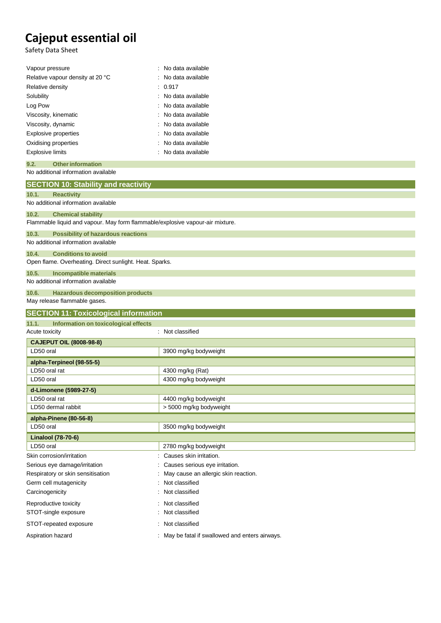Safety Data Sheet

| Vapour pressure                  | : No data available |
|----------------------------------|---------------------|
| Relative vapour density at 20 °C | : No data available |
| Relative density                 | : 0.917             |
| Solubility                       | : No data available |
| Log Pow                          | : No data available |
| Viscosity, kinematic             | : No data available |
| Viscosity, dynamic               | : No data available |
| Explosive properties             | : No data available |
| Oxidising properties             | : No data available |
| <b>Explosive limits</b>          | : No data available |
|                                  |                     |

#### No additional information available **9.2. Otherinformation**

| <b>SECTION 10: Stability and reactivity</b>                                   |                                                 |  |  |
|-------------------------------------------------------------------------------|-------------------------------------------------|--|--|
| 10.1.<br><b>Reactivity</b>                                                    |                                                 |  |  |
| No additional information available                                           |                                                 |  |  |
| <b>Chemical stability</b><br>10.2.                                            |                                                 |  |  |
| Flammable liquid and vapour. May form flammable/explosive vapour-air mixture. |                                                 |  |  |
| <b>Possibility of hazardous reactions</b><br>10.3.                            |                                                 |  |  |
| No additional information available                                           |                                                 |  |  |
| <b>Conditions to avoid</b><br>10.4.                                           |                                                 |  |  |
| Open flame. Overheating. Direct sunlight. Heat. Sparks.                       |                                                 |  |  |
| 10.5.<br>Incompatible materials                                               |                                                 |  |  |
| No additional information available                                           |                                                 |  |  |
| 10.6.<br><b>Hazardous decomposition products</b>                              |                                                 |  |  |
| May release flammable gases.                                                  |                                                 |  |  |
| <b>SECTION 11: Toxicological information</b>                                  |                                                 |  |  |
| Information on toxicological effects<br>11.1.                                 |                                                 |  |  |
| Acute toxicity                                                                | : Not classified                                |  |  |
| <b>CAJEPUT OIL (8008-98-8)</b>                                                |                                                 |  |  |
| LD50 oral                                                                     | 3900 mg/kg bodyweight                           |  |  |
| alpha-Terpineol (98-55-5)                                                     |                                                 |  |  |
| LD50 oral rat                                                                 | 4300 mg/kg (Rat)                                |  |  |
| LD50 oral                                                                     | 4300 mg/kg bodyweight                           |  |  |
| d-Limonene (5989-27-5)                                                        |                                                 |  |  |
| LD50 oral rat                                                                 | 4400 mg/kg bodyweight                           |  |  |
| LD50 dermal rabbit                                                            | > 5000 mg/kg bodyweight                         |  |  |
| alpha-Pinene (80-56-8)                                                        |                                                 |  |  |
| LD50 oral                                                                     | 3500 mg/kg bodyweight                           |  |  |
| Linalool (78-70-6)                                                            |                                                 |  |  |
| LD50 oral                                                                     | 2780 mg/kg bodyweight                           |  |  |
| Skin corrosion/irritation                                                     | Causes skin irritation.                         |  |  |
| Serious eye damage/irritation                                                 | Causes serious eye irritation.                  |  |  |
| Respiratory or skin sensitisation                                             | May cause an allergic skin reaction.            |  |  |
| Germ cell mutagenicity                                                        | Not classified                                  |  |  |
| Carcinogenicity                                                               | Not classified                                  |  |  |
| Reproductive toxicity                                                         | Not classified                                  |  |  |
| STOT-single exposure                                                          | Not classified                                  |  |  |
| STOT-repeated exposure                                                        | Not classified                                  |  |  |
| Aspiration hazard                                                             | : May be fatal if swallowed and enters airways. |  |  |
|                                                                               |                                                 |  |  |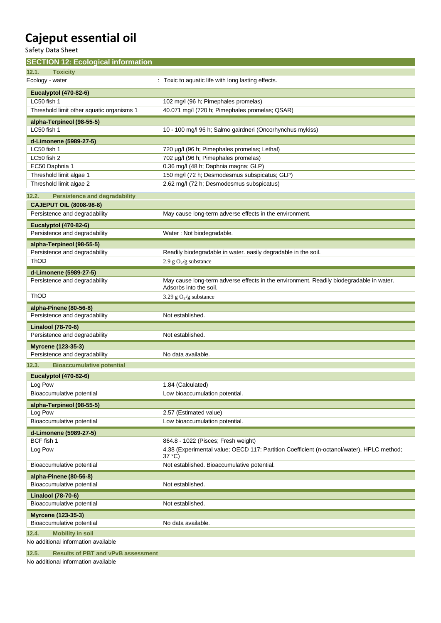Safety Data Sheet

| <b>SECTION 12: Ecological information</b>                     |                                                                                                                   |
|---------------------------------------------------------------|-------------------------------------------------------------------------------------------------------------------|
| <b>Toxicity</b><br>12.1.                                      |                                                                                                                   |
| Ecology - water                                               | : Toxic to aquatic life with long lasting effects.                                                                |
| <b>Eucalyptol (470-82-6)</b>                                  |                                                                                                                   |
| LC50 fish 1                                                   | 102 mg/l (96 h; Pimephales promelas)                                                                              |
| Threshold limit other aquatic organisms 1                     | 40.071 mg/l (720 h; Pimephales promelas; QSAR)                                                                    |
| alpha-Terpineol (98-55-5)                                     |                                                                                                                   |
| LC50 fish 1                                                   | 10 - 100 mg/l 96 h; Salmo gairdneri (Oncorhynchus mykiss)                                                         |
| d-Limonene (5989-27-5)                                        |                                                                                                                   |
| LC50 fish 1                                                   | 720 µg/l (96 h; Pimephales promelas; Lethal)                                                                      |
| LC50 fish 2                                                   | 702 µg/l (96 h; Pimephales promelas)                                                                              |
| EC50 Daphnia 1                                                | 0.36 mg/l (48 h; Daphnia magna; GLP)                                                                              |
| Threshold limit algae 1                                       | 150 mg/l (72 h; Desmodesmus subspicatus; GLP)                                                                     |
| Threshold limit algae 2                                       | 2.62 mg/l (72 h; Desmodesmus subspicatus)                                                                         |
|                                                               |                                                                                                                   |
| 12.2.<br><b>Persistence and degradability</b>                 |                                                                                                                   |
| <b>CAJEPUT OIL (8008-98-8)</b>                                |                                                                                                                   |
| Persistence and degradability                                 | May cause long-term adverse effects in the environment.                                                           |
| <b>Eucalyptol (470-82-6)</b>                                  |                                                                                                                   |
| Persistence and degradability                                 | Water: Not biodegradable.                                                                                         |
| alpha-Terpineol (98-55-5)                                     |                                                                                                                   |
| Persistence and degradability                                 | Readily biodegradable in water. easily degradable in the soil.                                                    |
| ThOD                                                          | $2.9$ g O <sub>2</sub> /g substance                                                                               |
| d-Limonene (5989-27-5)                                        |                                                                                                                   |
| Persistence and degradability                                 | May cause long-term adverse effects in the environment. Readily biodegradable in water.<br>Adsorbs into the soil. |
| ThOD                                                          | 3.29 g $O_2/g$ substance                                                                                          |
|                                                               |                                                                                                                   |
|                                                               |                                                                                                                   |
| alpha-Pinene (80-56-8)<br>Persistence and degradability       | Not established.                                                                                                  |
|                                                               |                                                                                                                   |
| <b>Linalool (78-70-6)</b><br>Persistence and degradability    | Not established.                                                                                                  |
|                                                               |                                                                                                                   |
| Myrcene (123-35-3)                                            | No data available.                                                                                                |
| Persistence and degradability                                 |                                                                                                                   |
| 12.3.<br><b>Bioaccumulative potential</b>                     |                                                                                                                   |
| <b>Eucalyptol (470-82-6)</b>                                  |                                                                                                                   |
| Log Pow                                                       | 1.84 (Calculated)                                                                                                 |
| Bioaccumulative potential                                     | Low bioaccumulation potential.                                                                                    |
| alpha-Terpineol (98-55-5)                                     |                                                                                                                   |
| Log Pow                                                       | 2.57 (Estimated value)                                                                                            |
| Bioaccumulative potential                                     | Low bioaccumulation potential.                                                                                    |
| d-Limonene (5989-27-5)                                        |                                                                                                                   |
| BCF fish 1                                                    | 864.8 - 1022 (Pisces; Fresh weight)                                                                               |
| Log Pow                                                       | 4.38 (Experimental value; OECD 117: Partition Coefficient (n-octanol/water), HPLC method;<br>37 °C)               |
| Bioaccumulative potential                                     | Not established. Bioaccumulative potential.                                                                       |
| alpha-Pinene (80-56-8)                                        |                                                                                                                   |
| Bioaccumulative potential                                     | Not established.                                                                                                  |
|                                                               |                                                                                                                   |
| <b>Linalool (78-70-6)</b><br>Bioaccumulative potential        | Not established.                                                                                                  |
|                                                               |                                                                                                                   |
| Myrcene (123-35-3)                                            |                                                                                                                   |
| Bioaccumulative potential<br><b>Mobility in soil</b><br>12.4. | No data available.                                                                                                |

**12.5. Results of PBT and vPvB assessment**

No additional information available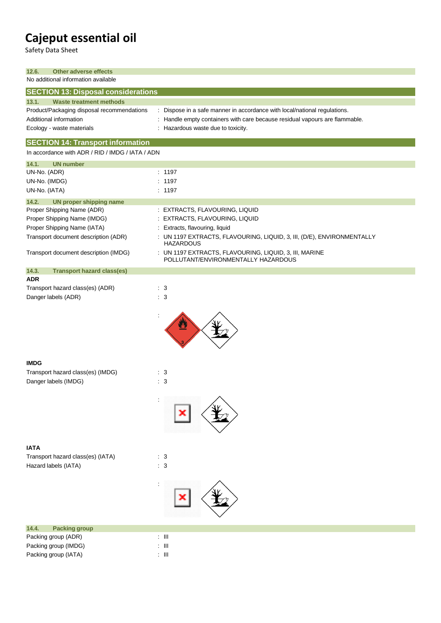Safety Data Sheet

| 12.6.<br><b>Other adverse effects</b>            |                                                                                               |  |
|--------------------------------------------------|-----------------------------------------------------------------------------------------------|--|
| No additional information available              |                                                                                               |  |
| <b>SECTION 13: Disposal considerations</b>       |                                                                                               |  |
| <b>Waste treatment methods</b><br>13.1.          |                                                                                               |  |
| Product/Packaging disposal recommendations       | : Dispose in a safe manner in accordance with local/national regulations.                     |  |
| Additional information                           | Handle empty containers with care because residual vapours are flammable.                     |  |
| Ecology - waste materials                        | : Hazardous waste due to toxicity.                                                            |  |
| <b>SECTION 14: Transport information</b>         |                                                                                               |  |
| In accordance with ADR / RID / IMDG / IATA / ADN |                                                                                               |  |
| 14.1.<br><b>UN number</b>                        |                                                                                               |  |
| UN-No. (ADR)                                     | : 1197                                                                                        |  |
| UN-No. (IMDG)                                    | : 1197                                                                                        |  |
| UN-No. (IATA)                                    | : 1197                                                                                        |  |
| 14.2.<br><b>UN proper shipping name</b>          |                                                                                               |  |
| Proper Shipping Name (ADR)                       | : EXTRACTS, FLAVOURING, LIQUID                                                                |  |
| Proper Shipping Name (IMDG)                      | : EXTRACTS, FLAVOURING, LIQUID                                                                |  |
| Proper Shipping Name (IATA)                      | : Extracts, flavouring, liquid                                                                |  |
| Transport document description (ADR)             | : UN 1197 EXTRACTS, FLAVOURING, LIQUID, 3, III, (D/E), ENVIRONMENTALLY<br><b>HAZARDOUS</b>    |  |
| Transport document description (IMDG)            | : UN 1197 EXTRACTS, FLAVOURING, LIQUID, 3, III, MARINE<br>POLLUTANT/ENVIRONMENTALLY HAZARDOUS |  |
| 14.3.<br><b>Transport hazard class(es)</b>       |                                                                                               |  |
| <b>ADR</b>                                       |                                                                                               |  |
| Transport hazard class(es) (ADR)                 | $\cdot$ 3                                                                                     |  |
| Danger labels (ADR)                              | $\therefore$ 3                                                                                |  |
|                                                  |                                                                                               |  |
| <b>IMDG</b>                                      |                                                                                               |  |
| Transport hazard class(es) (IMDG)                | $\cdot$ 3                                                                                     |  |
| Danger labels (IMDG)                             | $\therefore$ 3                                                                                |  |
|                                                  |                                                                                               |  |
|                                                  | ╱                                                                                             |  |
| <b>IATA</b>                                      |                                                                                               |  |
| Transport hazard class(es) (IATA)                | $\therefore$ 3                                                                                |  |
| Hazard labels (IATA)                             | $\therefore$ 3                                                                                |  |
|                                                  |                                                                                               |  |
|                                                  |                                                                                               |  |
| 14.4.<br><b>Packing group</b>                    |                                                                                               |  |
| Packing group (ADR)                              | $\lesssim 10$                                                                                 |  |
| Packing group (IMDG)                             | $\div$ III                                                                                    |  |
| Packing group (IATA)                             | $\lesssim 10$                                                                                 |  |
|                                                  |                                                                                               |  |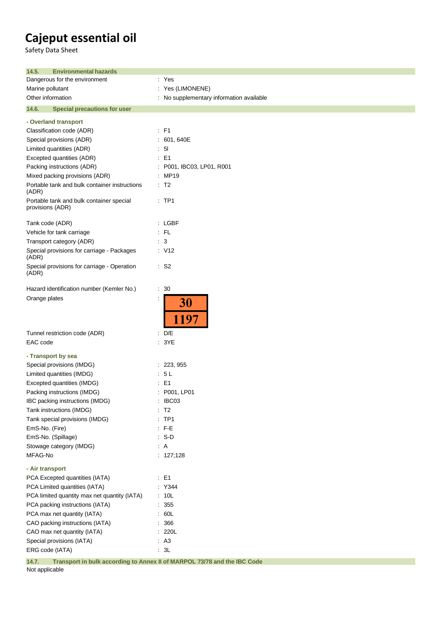Safety Data Sheet

| 14.5.<br><b>Environmental hazards</b>                        |                                                                          |
|--------------------------------------------------------------|--------------------------------------------------------------------------|
| Dangerous for the environment                                | : Yes                                                                    |
| Marine pollutant                                             | : Yes (LIMONENE)                                                         |
| Other information                                            | No supplementary information available                                   |
| 14.6.<br><b>Special precautions for user</b>                 |                                                                          |
| - Overland transport                                         |                                                                          |
| Classification code (ADR)                                    | $\therefore$ F1                                                          |
| Special provisions (ADR)                                     | : 601, 640E                                                              |
| Limited quantities (ADR)                                     | $\therefore$ 5                                                           |
| Excepted quantities (ADR)                                    | $\therefore$ E1                                                          |
| Packing instructions (ADR)                                   | : P001, IBC03, LP01, R001                                                |
| Mixed packing provisions (ADR)                               | : MP19                                                                   |
| Portable tank and bulk container instructions<br>(ADR)       | : T2                                                                     |
| Portable tank and bulk container special<br>provisions (ADR) | $:$ TP1                                                                  |
| Tank code (ADR)                                              | : LGBF                                                                   |
| Vehicle for tank carriage                                    | $:$ FL                                                                   |
| Transport category (ADR)                                     | : 3                                                                      |
| Special provisions for carriage - Packages<br>(ADR)          | : V12                                                                    |
| Special provisions for carriage - Operation<br>(ADR)         | $\therefore$ S2                                                          |
| Hazard identification number (Kemler No.)                    | 30<br>÷                                                                  |
| Orange plates                                                |                                                                          |
|                                                              | 30<br>1197                                                               |
| Tunnel restriction code (ADR)                                | : D/E                                                                    |
| EAC code                                                     | : 3YE                                                                    |
| - Transport by sea                                           |                                                                          |
| Special provisions (IMDG)                                    | : 223, 955                                                               |
| Limited quantities (IMDG)                                    | 5L                                                                       |
| Excepted quantities (IMDG)                                   | E <sub>1</sub>                                                           |
| Packing instructions (IMDG)                                  | P001, LP01                                                               |
| IBC packing instructions (IMDG)                              | IBC03                                                                    |
| Tank instructions (IMDG)                                     | T2                                                                       |
| Tank special provisions (IMDG)                               | TP <sub>1</sub>                                                          |
| EmS-No. (Fire)                                               | $:$ F-E                                                                  |
| EmS-No. (Spillage)                                           | $: S-D$                                                                  |
| Stowage category (IMDG)                                      | : A                                                                      |
| MFAG-No                                                      | : 127;128                                                                |
| - Air transport                                              |                                                                          |
| PCA Excepted quantities (IATA)                               | $\therefore$ E1                                                          |
| PCA Limited quantities (IATA)                                | : Y344                                                                   |
| PCA limited quantity max net quantity (IATA)                 | : 10L                                                                    |
| PCA packing instructions (IATA)                              | 355                                                                      |
| PCA max net quantity (IATA)                                  | .60L                                                                     |
| CAO packing instructions (IATA)                              | : 366                                                                    |
| CAO max net quantity (IATA)                                  | : 220L                                                                   |
| Special provisions (IATA)                                    | : A3                                                                     |
| ERG code (IATA)                                              | $\cdot$ 3L                                                               |
|                                                              |                                                                          |
| 14.7.                                                        | Transport in bulk according to Annex II of MARPOL 73/78 and the IBC Code |

Not applicable